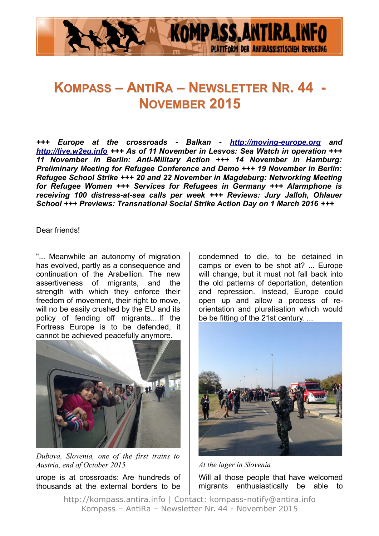

# **KOMPASS – ANTIRA – NEWSLETTER NR. 44 - NOVEMBER 2015**

*+++ Europe at the crossroads - Balkan - [http://moving-europe.org](http://moving-europe.org/) and [http://live.w2eu.info](http://live.w2eu.info/) +++ As of 11 November in Lesvos: Sea Watch in operation +++ 11 November in Berlin: Anti-Military Action +++ 14 November in Hamburg: Preliminary Meeting for Refugee Conference and Demo +++ 19 November in Berlin: Refugee School Strike +++ 20 and 22 November in Magdeburg: Networking Meeting for Refugee Women +++ Services for Refugees in Germany +++ Alarmphone is receiving 100 distress-at-sea calls per week +++ Reviews: Jury Jalloh, Ohlauer School +++ Previews: Transnational Social Strike Action Day on 1 March 2016 +++*

Dear friends!

"... Meanwhile an autonomy of migration has evolved, partly as a consequence and continuation of the Arabellion. The new assertiveness of migrants, and the strength with which they enforce their freedom of movement, their right to move, will no be easily crushed by the EU and its policy of fending off migrants....If the Fortress Europe is to be defended, it cannot be achieved peacefully anymore.



*Dubova, Slovenia, one of the first trains to Austria, end of October 2015*

urope is at crossroads: Are hundreds of thousands at the external borders to be

condemned to die, to be detained in camps or even to be shot at? ... Europe will change, but it must not fall back into the old patterns of deportation, detention and repression. Instead, Europe could open up and allow a process of reorientation and pluralisation which would be be fitting of the 21st century. ...



*At the lager in Slovenia*

Will all those people that have welcomed migrants enthusiastically be able to

http://kompass.antira.info | Contact: kompass-notify@antira.info Kompass – AntiRa – Newsletter Nr. 44 - November 2015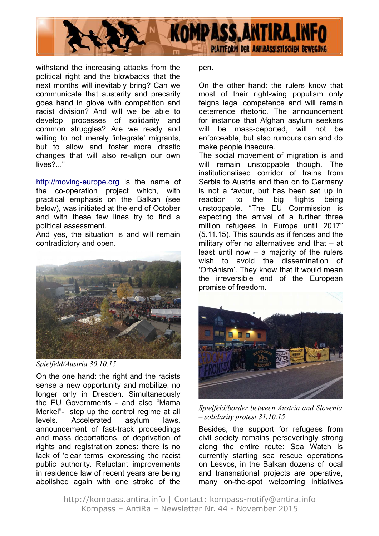

withstand the increasing attacks from the political right and the blowbacks that the next months will inevitably bring? Can we communicate that austerity and precarity goes hand in glove with competition and racist division? And will we be able to develop processes of solidarity and common struggles? Are we ready and willing to not merely 'integrate' migrants, but to allow and foster more drastic changes that will also re-align our own lives?..."

[http://moving-europe.org](http://moving-europe.org/) is the name of the co-operation project which, with practical emphasis on the Balkan (see below), was initiated at the end of October and with these few lines try to find a political assessment.

And yes, the situation is and will remain contradictory and open.



*Spielfeld/Austria 30.10.15*

On the one hand: the right and the racists sense a new opportunity and mobilize, no longer only in Dresden. Simultaneously the EU Governments - and also "Mama Merkel"- step up the control regime at all levels. Accelerated asylum laws, announcement of fast-track proceedings and mass deportations, of deprivation of rights and registration zones: there is no lack of 'clear terms' expressing the racist public authority. Reluctant improvements in residence law of recent years are being abolished again with one stroke of the

pen.

On the other hand: the rulers know that most of their right-wing populism only feigns legal competence and will remain deterrence rhetoric. The announcement for instance that Afghan asylum seekers will be mass-deported, will not be enforceable, but also rumours can and do make people insecure.

The social movement of migration is and will remain unstoppable though. The institutionalised corridor of trains from Serbia to Austria and then on to Germany is not a favour, but has been set up in reaction to the big flights being unstoppable. "The EU Commission is expecting the arrival of a further three million refugees in Europe until 2017" (5.11.15). This sounds as if fences and the military offer no alternatives and that – at least until now – a majority of the rulers wish to avoid the dissemination of 'Orbánism'. They know that it would mean the irreversible end of the European promise of freedom.



*Spielfeld/border between Austria and Slovenia – solidarity protest 31.10.15*

Besides, the support for refugees from civil society remains perseveringly strong along the entire route: Sea Watch is currently starting sea rescue operations on Lesvos, in the Balkan dozens of local and transnational projects are operative, many on-the-spot welcoming initiatives

http://kompass.antira.info | Contact: kompass-notify@antira.info Kompass – AntiRa – Newsletter Nr. 44 - November 2015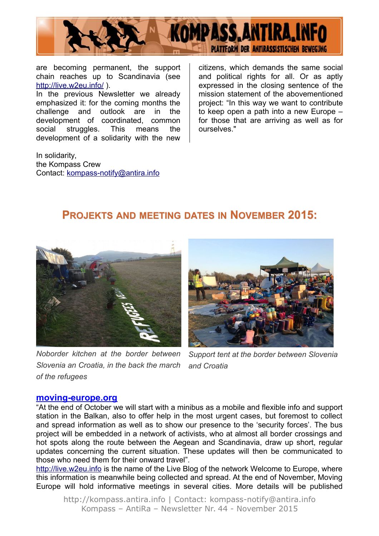

are becoming permanent, the support chain reaches up to Scandinavia (see <http://live.w2eu.info/>).

In the previous Newsletter we already emphasized it: for the coming months the challenge and outlook are in the development of coordinated, common social struggles. This means the development of a solidarity with the new

In solidarity, the Kompass Crew Contact: [kompass-notify@antira.inf](mailto:kompass-notify@antira.info)o citizens, which demands the same social and political rights for all. Or as aptly expressed in the closing sentence of the mission statement of the abovementioned project: "In this way we want to contribute to keep open a path into a new Europe – for those that are arriving as well as for ourselves."

### **PROJEKTS AND MEETING DATES IN NOVEMBER 2015:**



*Noborder kitchen at the border between Slovenia an Croatia, in the back the march of the refugees* 



*Support tent at the border between Slovenia and Croatia*

#### **[moving-europe.org](http://moving-europe.org/)**

"At the end of October we will start with a minibus as a mobile and flexible info and support station in the Balkan, also to offer help in the most urgent cases, but foremost to collect and spread information as well as to show our presence to the 'security forces'. The bus project will be embedded in a network of activists, who at almost all border crossings and hot spots along the route between the Aegean and Scandinavia, draw up short, regular updates concerning the current situation. These updates will then be communicated to those who need them for their onward travel".

[http://live.w2eu.info](http://live.w2eu.info/) is the name of the Live Blog of the network Welcome to Europe, where this information is meanwhile being collected and spread. At the end of November, Moving Europe will hold informative meetings in several cities. More details will be published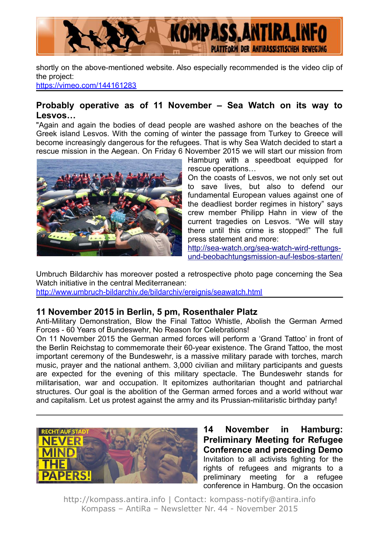

shortly on the above-mentioned website. Also especially recommended is the video clip of the project:

<https://vimeo.com/144161283>

#### **Probably operative as of 11 November – Sea Watch on its way to Lesvos…**

"Again and again the bodies of dead people are washed ashore on the beaches of the Greek island Lesvos. With the coming of winter the passage from Turkey to Greece will become increasingly dangerous for the refugees. That is why Sea Watch decided to start a rescue mission in the Aegean. On Friday 6 November 2015 we will start our mission from



Hamburg with a speedboat equipped for rescue operations…

On the coasts of Lesvos, we not only set out to save lives, but also to defend our fundamental European values against one of the deadliest border regimes in history" says crew member Philipp Hahn in view of the current tragedies on Lesvos. "We will stay there until this crime is stopped!" The full press statement and more:

[http://sea-watch.org/sea-watch-wird-rettungs](http://sea-watch.org/sea-watch-wird-rettungs-und-beobachtungsmission-auf-lesbos-starten/)[und-beobachtungsmission-auf-lesbos-starten/](http://sea-watch.org/sea-watch-wird-rettungs-und-beobachtungsmission-auf-lesbos-starten/)

Umbruch Bildarchiv has moreover posted a retrospective photo page concerning the Sea Watch initiative in the central Mediterranean:

<http://www.umbruch-bildarchiv.de/bildarchiv/ereignis/seawatch.html>

#### **11 November 2015 in Berlin, 5 pm, Rosenthaler Platz**

Anti-Military Demonstration, Blow the Final Tattoo Whistle, Abolish the German Armed Forces - 60 Years of Bundeswehr, No Reason for Celebrations!

On 11 November 2015 the German armed forces will perform a 'Grand Tattoo' in front of the Berlin Reichstag to commemorate their 60-year existence. The Grand Tattoo, the most important ceremony of the Bundeswehr, is a massive military parade with torches, march music, prayer and the national anthem. 3,000 civilian and military participants and guests are expected for the evening of this military spectacle. The Bundeswehr stands for militarisation, war and occupation. It epitomizes authoritarian thought and patriarchal structures. Our goal is the abolition of the German armed forces and a world without war and capitalism. Let us protest against the army and its Prussian-militaristic birthday party!



**14 November in Hamburg: Preliminary Meeting for Refugee Conference and preceding Demo** Invitation to all activists fighting for the rights of refugees and migrants to a preliminary meeting for a refugee conference in Hamburg. On the occasion

http://kompass.antira.info | Contact: kompass-notify@antira.info Kompass – AntiRa – Newsletter Nr. 44 - November 2015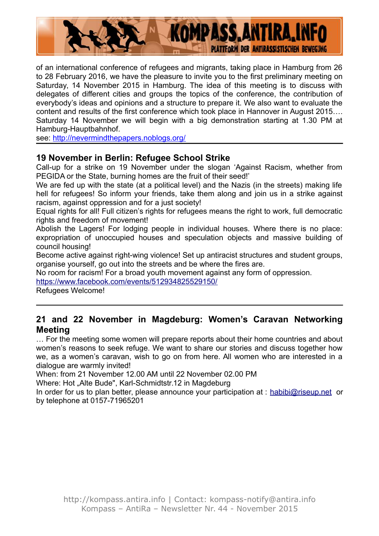

of an international conference of refugees and migrants, taking place in Hamburg from 26 to 28 February 2016, we have the pleasure to invite you to the first preliminary meeting on Saturday, 14 November 2015 in Hamburg. The idea of this meeting is to discuss with delegates of different cities and groups the topics of the conference, the contribution of everybody's ideas and opinions and a structure to prepare it. We also want to evaluate the content and results of the first conference which took place in Hannover in August 2015…. Saturday 14 November we will begin with a big demonstration starting at 1.30 PM at Hamburg-Hauptbahnhof.

see:<http://nevermindthepapers.noblogs.org/>

### **19 November in Berlin: Refugee School Strike**

Call-up for a strike on 19 November under the slogan 'Against Racism, whether from PEGIDA or the State, burning homes are the fruit of their seed!'

We are fed up with the state (at a political level) and the Nazis (in the streets) making life hell for refugees! So inform your friends, take them along and join us in a strike against racism, against oppression and for a just society!

Equal rights for all! Full citizen's rights for refugees means the right to work, full democratic rights and freedom of movement!

Abolish the Lagers! For lodging people in individual houses. Where there is no place: expropriation of unoccupied houses and speculation objects and massive building of council housing!

Become active against right-wing violence! Set up antiracist structures and student groups, organise yourself, go out into the streets and be where the fires are.

No room for racism! For a broad youth movement against any form of oppression.

<https://www.facebook.com/events/512934825529150/>

Refugees Welcome!

#### **21 and 22 November in Magdeburg: Women's Caravan Networking Meeting**

… For the meeting some women will prepare reports about their home countries and about women's reasons to seek refuge. We want to share our stories and discuss together how we, as a women's caravan, wish to go on from here. All women who are interested in a dialogue are warmly invited!

When: from 21 November 12.00 AM until 22 November 02.00 PM

Where: Hot "Alte Bude", Karl-Schmidtstr.12 in Magdeburg

In order for us to plan better, please announce your participation at : [habibi@riseup.net](mailto:habibi@riseup.net) or by telephone at 0157-71965201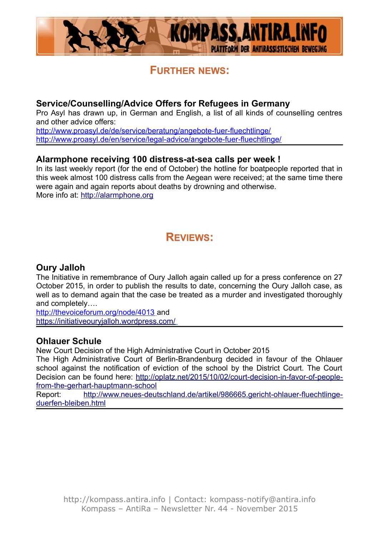

### **FURTHER NEWS:**

#### **Service/Counselling/Advice Offers for Refugees in Germany**

Pro Asyl has drawn up, in German and English, a list of all kinds of counselling centres and other advice offers:

<http://www.proasyl.de/de/service/beratung/angebote-fuer-fluechtlinge/> <http://www.proasyl.de/en/service/legal-advice/angebote-fuer-fluechtlinge/>

#### **Alarmphone receiving 100 distress-at-sea calls per week !**

In its last weekly report (for the end of October) the hotline for boatpeople reported that in this week almost 100 distress calls from the Aegean were received; at the same time there were again and again reports about deaths by drowning and otherwise. More info at: [http://alarmphone.org](http://alarmphone.org/)

### **REVIEWS:**

#### **Oury Jalloh**

The Initiative in remembrance of Oury Jalloh again called up for a press conference on 27 October 2015, in order to publish the results to date, concerning the Oury Jalloh case, as well as to demand again that the case be treated as a murder and investigated thoroughly and completely….

<http://thevoiceforum.org/node/4013> and <https://initiativeouryjalloh.wordpress.com/>

#### **Ohlauer Schule**

New Court Decision of the High Administrative Court in October 2015

The High Administrative Court of Berlin-Brandenburg decided in favour of the Ohlauer school against the notification of eviction of the school by the District Court. The Court Decision can be found here: [http://oplatz.net/2015/10/02/court-decision-in-favor-of-people](http://oplatz.net/2015/10/02/court-decision-in-favor-of-people-from-the-gerhart-hauptmann-school)[from-the-gerhart-hauptmann-school](http://oplatz.net/2015/10/02/court-decision-in-favor-of-people-from-the-gerhart-hauptmann-school)

Report: [http://www.neues-deutschland.de/artikel/986665.gericht-ohlauer-fluechtlinge](http://www.neues-deutschland.de/artikel/986665.gericht-ohlauer-fluechtlinge-duerfen-bleiben.html)[duerfen-bleiben.html](http://www.neues-deutschland.de/artikel/986665.gericht-ohlauer-fluechtlinge-duerfen-bleiben.html)